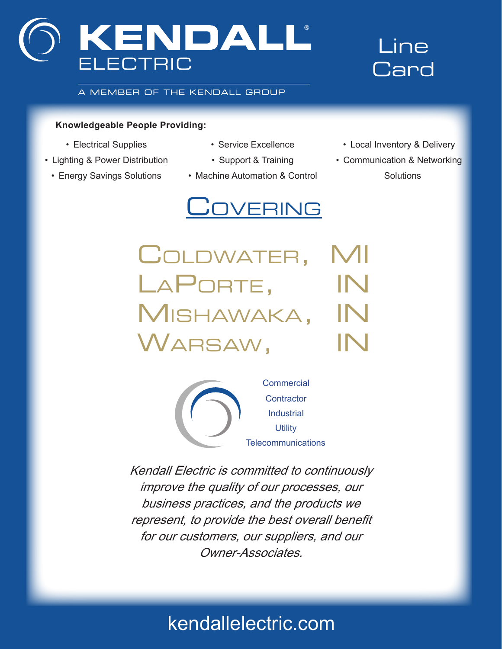

## Line **Card**

A MEMBER OF THE KENDALL GROUP

### **Knowledgeable People Providing:**

- Electrical Supplies
- Lighting & Power Distribution
- Energy Savings Solutions
- Service Excellence
- Support & Training
- Machine Automation & Control

# **COVERING**

• Local Inventory & Delivery

• Communication & Networking **Solutions** 

Coldwater, MI LAPORTE, IN Mishawaka, IN Warsaw, IN



Kendall Electric is committed to continuously improve the quality of our processes, our business practices, and the products we represent, to provide the best overall benefit for our customers, our suppliers, and our Owner-Associates.

## kendallelectric.com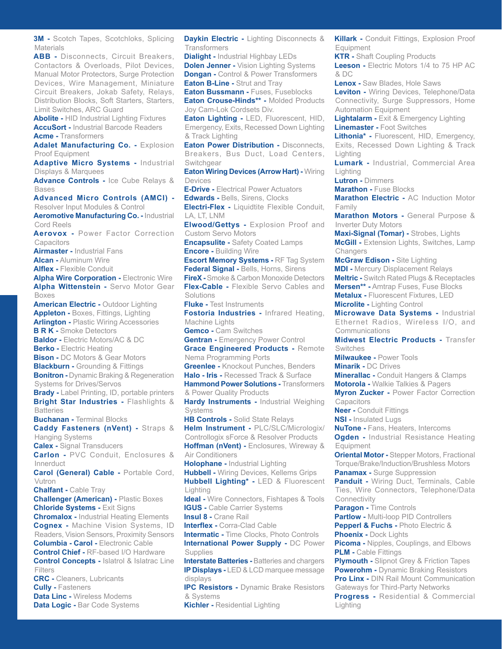**3M -** Scotch Tapes, Scotchloks, Splicing **Materials** 

**ABB -** Disconnects, Circuit Breakers, Contactors & Overloads, Pilot Devices, Manual Motor Protectors, Surge Protection Devices, Wire Management, Miniature Circuit Breakers, Jokab Safety, Relays, Distribution Blocks, Soft Starters, Starters, Limit Switches, ARC Guard

**Abolite -** HID Industrial Lighting Fixtures **AccuSort -** Industrial Barcode Readers **Acme -** Transformers

Adalet Manufacturing Co. - Explosion Proof Equipment

**Adaptive Micro Systems -** Industrial Displays & Marquees

**Advance Controls -** Ice Cube Relays & Bases

**Advanced Micro Controls (AMCI) -** Resolver Input Modules & Control **Aeromotive Manufacturing Co. -** Industrial Cord Reels

**Aerovox -** Power Factor Correction **Capacitors** 

**Airmaster -** Industrial Fans

**Alcan -** Aluminum Wire

**Alflex -** Flexible Conduit

**Alpha Wire Corporation - Electronic Wire Alpha Wittenstein -** Servo Motor Gear Boxes

**American Electric -** Outdoor Lighting **Appleton -** Boxes, Fittings, Lighting **Arlington -** Plastic Wiring Accessories **B R K -** Smoke Detectors **Baldor -** Electric Motors/AC & DC **Berko -** Electric Heating **Bison -** DC Motors & Gear Motors **Blackburn -** Grounding & Fittings **Bonitron -** Dynamic Braking & Regeneration Systems for Drives/Servos **Brady -** Label Printing, ID, portable printers **Bright Star Industries -** Flashlights & **Batteries Buchanan -** Terminal Blocks

**Caddy Fasteners (nVent) -** Straps & Hanging Systems

**Calex -** Signal Transducers **Carlon -** PVC Conduit, Enclosures &

Innerduct

**Carol (General) Cable -** Portable Cord, Vutron

**Chalfant -** Cable Tray

**Challenger (American) -** Plastic Boxes **Chloride Systems -** Exit Signs **Chromalox -** Industrial Heating Elements

**Cognex -** Machine Vision Systems, ID Readers, Vision Sensors, Proximity Sensors **Columbia - Carol -** Electronic Cable **Control Chief -** RF-based I/O Hardware **Control Concepts -** Islatrol & Islatrac Line Filters

**CRC -** Cleaners, Lubricants **Cully -** Fasteners **Data Linc -** Wireless Modems **Data Logic - Bar Code Systems**  **Daykin Electric -** Lighting Disconnects & **Transformers** 

**Manufacturers/Products**

**Dialight - Industrial Highbay LEDs Dolen Jenner -** Vision Lighting Systems **Dongan -** Control & Power Transformers **Eaton B-Line - Strut and Tray** 

**Eaton Bussmann - Fuses, Fuseblocks** 

**Eaton Crouse-Hinds\*\* -** Molded Products Joy Cam-Lok Cordsets Div.

**Eaton Lighting -** LED, Fluorescent, HID, Emergency, Exits, Recessed Down Lighting & Track Lighting

**Eaton Power Distribution - Disconnects,** Breakers, Bus Duct, Load Centers, Switchgear

**Eaton Wiring Devices (Arrow Hart) -** Wiring Devices

**E-Drive -** Electrical Power Actuators **Edwards -** Bells, Sirens, Clocks

**Electri-Flex -** Liquidtite Flexible Conduit, LA, LT, LNM

**Elwood/Gettys -** Explosion Proof and Custom Servo Motors

**Encapsulite -** Safety Coated Lamps **Encore -** Building Wire

**Escort Memory Systems -** RF Tag System **Federal Signal -** Bells, Horns, Sirens **FireX -** Smoke & Carbon Monoxide Detectors

**Flex-Cable -** Flexible Servo Cables and Solutions

**Fluke -** Test Instruments

**Fostoria Industries -** Infrared Heating, Machine Lights

**Gemco -** Cam Switches

**Gentran - Emergency Power Control Grace Engineered Products -** Remote

Nema Programming Ports **Greenlee -** Knockout Punches, Benders

**Halo - Iris -** Recessed Track & Surface **Hammond Power Solutions - Transformers** 

& Power Quality Products **Hardy Instruments - Industrial Weighing** 

Systems **HB Controls -** Solid State Relays

**Helm Instrument -** PLC/SLC/Micrologix/ Controllogix sForce & Resolver Products **Hoffman (nVent) -** Enclosures, Wireway & Air Conditioners

**Holophane -** Industrial Lighting

**Hubbell -** Wiring Devices, Kellems Grips **Hubbell Lighting\* -** LED & Fluorescent Lighting

**Ideal -** Wire Connectors, Fishtapes & Tools **IGUS - Cable Carrier Systems** 

**Insul 8 -** Crane Rail

**Interflex - Corra-Clad Cable Intermatic - Time Clocks, Photo Controls International Power Supply -** DC Power

**Supplies Interstate Batteries -** Batteries and chargers

**IP Displays -** LED & LCD marquee message displays

**IPC Resistors -** Dynamic Brake Resistors & Systems **Kichler -** Residential Lighting

**Killark -** Conduit Fittings, Explosion Proof **Equipment** 

**KTR -** Shaft Coupling Products **Leeson -** Electric Motors 1/4 to 75 HP AC & DC

**Lenox -** Saw Blades, Hole Saws

**Leviton -** Wiring Devices, Telephone/Data Connectivity, Surge Suppressors, Home Automation Equipment

**Lightalarm -** Exit & Emergency Lighting **Linemaster -** Foot Switches

**Lithonia\* -** Fluorescent, HID, Emergency,

Exits, Recessed Down Lighting & Track Lighting

**Lumark -** Industrial, Commercial Area Lighting

**Lutron -** Dimmers

**Marathon - Fuse Blocks** 

**Marathon Electric -** AC Induction Motor Family

**Marathon Motors -** General Purpose & Inverter Duty Motors

**Maxi-Signal (Tomar) -** Strobes, Lights **McGill -** Extension Lights, Switches, Lamp **Changers** 

**McGraw Edison -** Site Lighting **MDI -** Mercury Displacement Relays **Meltric -** Switch Rated Plugs & Receptacles **Mersen\*\* -** Amtrap Fuses, Fuse Blocks **Metalux -** Fluorescent Fixtures, LED **Microlite -** Lighting Control

**Microwave Data Systems -** Industrial Ethernet Radios, Wireless I/O, and Communications

**Midwest Electric Products -** Transfer **Switches** 

**Milwaukee -** Power Tools

**Minarik -** DC Drives

**Minerallac -** Conduit Hangers & Clamps

**Motorola -** Walkie Talkies & Pagers **Myron Zucker -** Power Factor Correction

**Capacitors** 

**Neer -** Conduit Fittings

**NSI -** Insulated Lugs

**NuTone -** Fans, Heaters, Intercoms **Ogden -** Industrial Resistance Heating Equipment

**Oriental Motor -** Stepper Motors, Fractional Torque/Brake/Induction/Brushless Motors **Panamax - Surge Suppression** 

**Panduit -** Wiring Duct, Terminals, Cable Ties, Wire Connectors, Telephone/Data **Connectivity** 

**Paragon -** Time Controls **Partlow -** Multi-loop PID Controllers **Pepperl & Fuchs -** Photo Electric & **Phoenix - Dock Lights** 

**Picoma -** Nipples, Couplings, and Elbows **PLM -** Cable Fittings

**Plymouth -** Slipnot Grey & Friction Tapes **Powerohm -** Dynamic Braking Resistors **Pro Linx -** DIN Rail Mount Communication Gateways for Third-Party Networks **Progress -** Residential & Commercial Lighting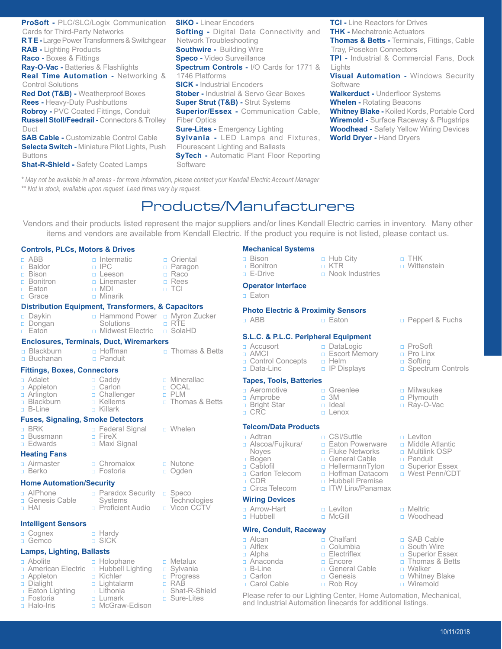**ProSoft -** PLC/SLC/Logix Communication Cards for Third-Party Networks **R T E -** Large Power Transformers & Switchgear **RAB -** Lighting Products **Raco -** Boxes & Fittings **Ray-O-Vac -** Batteries & Flashlights **Real Time Automation -** Networking & Control Solutions **Red Dot (T&B) -** Weatherproof Boxes **Rees -** Heavy-Duty Pushbuttons **Robroy -** PVC Coated Fittings, Conduit **Russell Stoll/Feedrail -** Connectors & Trolley Duct **SAB Cable - Customizable Control Cable Selecta Switch -** Miniature Pilot Lights, Push Buttons **Shat-R-Shield -** Safety Coated Lamps **SIKO -** Linear Encoders **Softing -** Digital Data Connectivity and Network Troubleshooting **Southwire - Building Wire Speco -** Video Surveillance **Spectrum Controls -** I/O Cards for 1771 & 1746 Platforms **SICK -** Industrial Encoders **Stober -** Industrial & Servo Gear Boxes **Super Strut (T&B) - Strut Systems Superior/Essex - Communication Cable,** Fiber Optics **Sure-Lites -** Emergency Lighting **Sylvania -** LED Lamps and Fixtures, Flourescent Lighting and Ballasts **SyTech -** Automatic Plant Floor Reporting **Software** 

**TCI - Line Reactors for Drives THK -** Mechatronic Actuators **Thomas & Betts -** Terminals, Fittings, Cable Tray, Posekon Connectors **TPI -** Industrial & Commercial Fans, Dock Lights **Visual Automation -** Windows Security **Software** 

**Walkerduct -** Underfloor Systems **Whelen -** Rotating Beacons **Whitney Blake -** Koiled Kords, Portable Cord **Wiremold -** Surface Raceway & Plugstrips **Woodhead -** Safety Yellow Wiring Devices **World Dryer -** Hand Dryers

*\* May not be available in all areas - for more information, please contact your Kendall Electric Account Manager \*\* Not in stock, available upon request. Lead times vary by request.*

## Products/Manufacturers

Vendors and their products listed represent the major suppliers and/or lines Kendall Electric carries in inventory. Many other items and vendors are available from Kendall Electric. If the product you require is not listed, please contact us.

> • Bonitron • E-Drive

#### **Controls, PLCs, Motors & Drives**

• ABB • Baldor • Bison • Bonitron • Eaton • Grace ntermatic • IPC • Leeson • Linemaster • MDI • Minarik • Oriental • Paragon • Raco • Rees • TCI • Daykin • Dongan • Eaton □ Hammond Power □ Myron Zucker Solutions **D** Midwest Electric • RTE • SolaHD **Distribution Equipment, Transformers, & Capacitors Blackburn** • Buchanan • Hoffman • Panduit • Thomas & Betts **Enclosures, Terminals, Duct, Wiremarkers** • Adalet • Appleton • Arlington **<u>n</u>** Blackburn • B-Line • Caddy • Carlon • Challenger • Kellems • Killark • Minerallac • OCAL • PLM **n** Thomas & Betts **Fittings, Boxes, Connectors** • BRK • Bussmann • Edwards **D** Federal Signal • FireX • Maxi Signal • Whelen **Fuses, Signaling, Smoke Detectors** • Airmaster • Berko • Chromalox • Fostoria • Nutone • Ogden **Heating Fans Home Automation/Security**

- AIPhone
- **D** Genesis Cable
- HAI
- **Intelligent Sensors**
- Cognex
- Gemco

#### **Lamps, Lighting, Ballasts**

- Abolite **D** American Electric
- Appleton • Dialight
- **Eaton Lighting**
- Fostoria
- Halo-Iris
- **n** Hubbell Lighting • Kichler • Lightalarm • Lithonia • Lumark

• Holophane

• Hardy • SICK

□ McGraw-Edison

**n** Paradox Security **Systems <u>n</u>** Proficient Audio

- Speco **Technologies** □ Vicon CCTV
- 

|  | n Metalux       |
|--|-----------------|
|  | □ Sylvania      |
|  | n Progress      |
|  | n RAB           |
|  | n Shat-R-Shield |
|  |                 |

• Sure-Lites

#### • Bison **Mechanical Systems**

- Hub City • KTR
- Nook Industries

• DataLogic **E** Escort Memory

• Helm • IP Displays

**Operator Interface**

### • Eaton

#### **Photo Electric & Proximity Sensors**

#### **S.L.C. & P.L.C. Peripheral Equipment**

#### □ Accusort • AMCI **Control Concepts** • Data-Linc

#### **Tapes, Tools, Batteries**

- Aeromotive • Amprobe
- **<u>n</u>** Bright Star
- CRC

#### **Telcom/Data Products**

- Adtran
- **B** Alscoa/Fujikura/ Noyes
- Bogen
- Cablofil **n** Carlon Telecom
- CDR
- **<u>n</u>** Circa Telecom

#### **Wiring Devices**

- Arrow-Hart
- Hubbell

#### • Alcan • Alflex **Wire, Conduit, Raceway**

- Alpha • Anaconda
- B-Line
- Carlon • Carol Cable
- 
- 

## □ CSI/Suttle

- **Eaton Powerware**
- **<u>n</u>** Fluke Networks
- **D** General Cable
- **E** HellermannTyton
- **<u>n</u>** Hoffman Datacom
- **B** Hubbell Premise
- **<u>n</u>** ITW Linx/Panamax
- Leviton
- McGill
- Chalfant
- Columbia
- **n** Electriflex
- Encore
- **D** General Cable
- Genesis
- Rob Roy
- Please refer to our Lighting Center, Home Automation, Mechanical, and Industrial Automation linecards for additional listings.

• THK **D** Wittenstein

- **Example 18 Fuchs Eaton C** Fuchs **C** Pepperl & Fuchs
	- ProSoft
	- Pro Linx
	- □ Softing
	- **B** Spectrum Controls
	- Milwaukee
	- Plymouth
	- Ray-O-Vac
	- Leviton
	- **D** Middle Atlantic
	- **D** Multilink OSP
	- Panduit
	- **B** Superior Essex
	- **D** West Penn/CDT
	- Meltric
	- Woodhead
	- □ SAB Cable
	- □ South Wire
	- **B** Superior Essex
	- **n** Thomas & Betts
	- Walker
	- **u** Whitney Blake □ Wiremold
		- 10/11/2018

• Greenlee • 3M • Ideal • Lenox